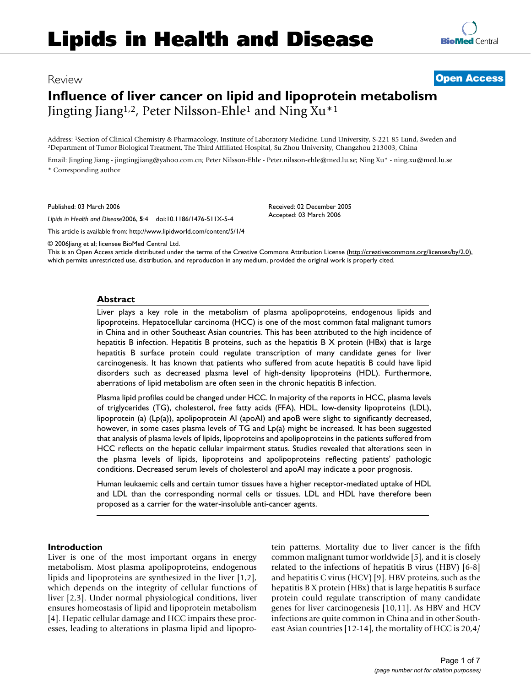## Review **[Open Access](http://www.biomedcentral.com/info/about/charter/)**

# **Influence of liver cancer on lipid and lipoprotein metabolism** Jingting Jiang1,2, Peter Nilsson-Ehle1 and Ning Xu\*1

Address: <sup>1</sup>Section of Clinical Chemistry & Pharmacology, Institute of Laboratory Medicine. Lund University, S-221 85 Lund, Sweden and <sup>2</sup>Department of Tumor Biological Treatment, The Third Affiliated Hospital, Su Zhou Uni

Email: Jingting Jiang - jingtingjiang@yahoo.com.cn; Peter Nilsson-Ehle - Peter.nilsson-ehle@med.lu.se; Ning Xu\* - ning.xu@med.lu.se \* Corresponding author

Published: 03 March 2006

*Lipids in Health and Disease*2006, **5**:4 doi:10.1186/1476-511X-5-4

[This article is available from: http://www.lipidworld.com/content/5/1/4](http://www.lipidworld.com/content/5/1/4)

Received: 02 December 2005 Accepted: 03 March 2006

© 2006Jiang et al; licensee BioMed Central Ltd.

This is an Open Access article distributed under the terms of the Creative Commons Attribution License [\(http://creativecommons.org/licenses/by/2.0\)](http://creativecommons.org/licenses/by/2.0), which permits unrestricted use, distribution, and reproduction in any medium, provided the original work is properly cited.

### **Abstract**

Liver plays a key role in the metabolism of plasma apolipoproteins, endogenous lipids and lipoproteins. Hepatocellular carcinoma (HCC) is one of the most common fatal malignant tumors in China and in other Southeast Asian countries. This has been attributed to the high incidence of hepatitis B infection. Hepatitis B proteins, such as the hepatitis B X protein (HBx) that is large hepatitis B surface protein could regulate transcription of many candidate genes for liver carcinogenesis. It has known that patients who suffered from acute hepatitis B could have lipid disorders such as decreased plasma level of high-density lipoproteins (HDL). Furthermore, aberrations of lipid metabolism are often seen in the chronic hepatitis B infection.

Plasma lipid profiles could be changed under HCC. In majority of the reports in HCC, plasma levels of triglycerides (TG), cholesterol, free fatty acids (FFA), HDL, low-density lipoproteins (LDL), lipoprotein (a) (Lp(a)), apolipoprotein AI (apoAI) and apoB were slight to significantly decreased, however, in some cases plasma levels of TG and Lp(a) might be increased. It has been suggested that analysis of plasma levels of lipids, lipoproteins and apolipoproteins in the patients suffered from HCC reflects on the hepatic cellular impairment status. Studies revealed that alterations seen in the plasma levels of lipids, lipoproteins and apolipoproteins reflecting patients' pathologic conditions. Decreased serum levels of cholesterol and apoAI may indicate a poor prognosis.

Human leukaemic cells and certain tumor tissues have a higher receptor-mediated uptake of HDL and LDL than the corresponding normal cells or tissues. LDL and HDL have therefore been proposed as a carrier for the water-insoluble anti-cancer agents.

### **Introduction**

Liver is one of the most important organs in energy metabolism. Most plasma apolipoproteins, endogenous lipids and lipoproteins are synthesized in the liver [1,2], which depends on the integrity of cellular functions of liver [2,3]. Under normal physiological conditions, liver ensures homeostasis of lipid and lipoprotein metabolism [4]. Hepatic cellular damage and HCC impairs these processes, leading to alterations in plasma lipid and lipoprotein patterns. Mortality due to liver cancer is the fifth common malignant tumor worldwide [5], and it is closely related to the infections of hepatitis B virus (HBV) [6-8] and hepatitis C virus (HCV) [9]. HBV proteins, such as the hepatitis B X protein (HBx) that is large hepatitis B surface protein could regulate transcription of many candidate genes for liver carcinogenesis [10,11]. As HBV and HCV infections are quite common in China and in other Southeast Asian countries [12-14], the mortality of HCC is 20,4/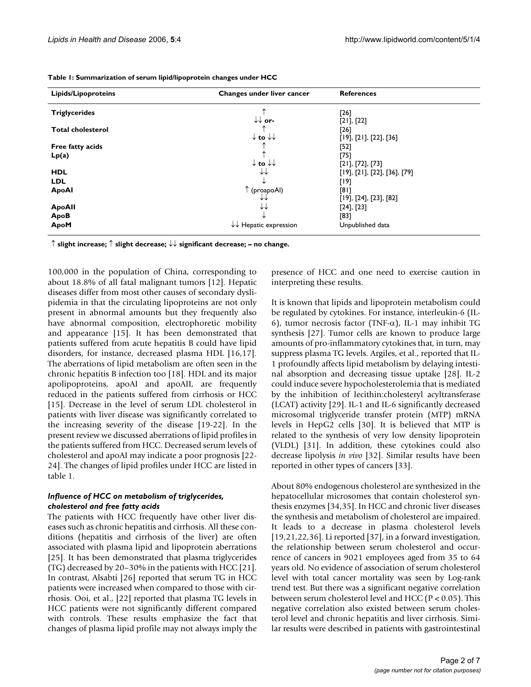| <b>Lipids/Lipoproteins</b> | Changes under liver cancer                 | <b>References</b>            |
|----------------------------|--------------------------------------------|------------------------------|
| <b>Triglycerides</b>       |                                            | [26]                         |
|                            | $\downarrow\downarrow$ or-                 | $[21]$ , $[22]$              |
| <b>Total cholesterol</b>   |                                            | $[26]$                       |
|                            | $\downarrow$ to $\downarrow\downarrow$     | [19], [21], [22], [36]       |
| Free fatty acids           |                                            | [52]                         |
| Lp(a)                      |                                            | [75]                         |
|                            | $\downarrow$ to $\downarrow\downarrow$     | [21], [72], [73]             |
| <b>HDL</b>                 | ↓↓                                         | [19], [21], [22], [36], [79] |
| <b>LDL</b>                 |                                            | [19]                         |
| <b>ApoAl</b>               | ↑ (proapoAl)                               | [81]                         |
|                            | ∗∗                                         | [19], [24], [23], [82]       |
| <b>ApoAll</b>              | ∗∗                                         | $[24]$ , $[23]$              |
| ApoB                       |                                            | [83]                         |
| ApoM                       | $\downarrow \downarrow$ Hepatic expression | Unpublished data             |

**Table 1: Summarization of serum lipid/lipoprotein changes under HCC**

↑ **slight increase;** ↑ **slight decrease;** ↓↓ **significant decrease; – no change.**

100,000 in the population of China, corresponding to about 18.8% of all fatal malignant tumors [12]. Hepatic diseases differ from most other causes of secondary dyslipidemia in that the circulating lipoproteins are not only present in abnormal amounts but they frequently also have abnormal composition, electrophoretic mobility and appearance [15]. It has been demonstrated that patients suffered from acute hepatitis B could have lipid disorders, for instance, decreased plasma HDL [16,17]. The aberrations of lipid metabolism are often seen in the chronic hepatitis B infection too [18]. HDL and its major apolipoproteins, apoAI and apoAII, are frequently reduced in the patients suffered from cirrhosis or HCC [15]. Decrease in the level of serum LDL cholesterol in patients with liver disease was significantly correlated to the increasing severity of the disease [19-22]. In the present review we discussed aberrations of lipid profiles in the patients suffered from HCC. Decreased serum levels of cholesterol and apoAI may indicate a poor prognosis [22- 24]. The changes of lipid profiles under HCC are listed in table 1.

#### *Influence of HCC on metabolism of triglycerides, cholesterol and free fatty acids*

The patients with HCC frequently have other liver diseases such as chronic hepatitis and cirrhosis. All these conditions (hepatitis and cirrhosis of the liver) are often associated with plasma lipid and lipoprotein aberrations [25]. It has been demonstrated that plasma triglycerides (TG) decreased by 20–30% in the patients with HCC [21]. In contrast, Alsabti [26] reported that serum TG in HCC patients were increased when compared to those with cirrhosis. Ooi, et al., [22] reported that plasma TG levels in HCC patients were not significantly different compared with controls. These results emphasize the fact that changes of plasma lipid profile may not always imply the

presence of HCC and one need to exercise caution in interpreting these results.

It is known that lipids and lipoprotein metabolism could be regulated by cytokines. For instance, interleukin-6 (IL-6), tumor necrosis factor (TNF- $\alpha$ ), IL-1 may inhibit TG synthesis [27]. Tumor cells are known to produce large amounts of pro-inflammatory cytokines that, in turn, may suppress plasma TG levels. Argiles, et al., reported that IL-1 profoundly affects lipid metabolism by delaying intestinal absorption and decreasing tissue uptake [28]. IL-2 could induce severe hypocholesterolemia that is mediated by the inhibition of lecithin:cholesteryl acyltransferase (LCAT) activity [29]. IL-1 and IL-6 significantly decreased microsomal triglyceride transfer protein (MTP) mRNA levels in HepG2 cells [30]. It is believed that MTP is related to the synthesis of very low density lipoprotein (VLDL) [31]. In addition, these cytokines could also decrease lipolysis *in vivo* [32]. Similar results have been reported in other types of cancers [33].

About 80% endogenous cholesterol are synthesized in the hepatocellular microsomes that contain cholesterol synthesis enzymes [34,35]. In HCC and chronic liver diseases the synthesis and metabolism of cholesterol are impaired. It leads to a decrease in plasma cholesterol levels [19,21,22,36]. Li reported [37], in a forward investigation, the relationship between serum cholesterol and occurrence of cancers in 9021 employees aged from 35 to 64 years old. No evidence of association of serum cholesterol level with total cancer mortality was seen by Log-rank trend test. But there was a significant negative correlation between serum cholesterol level and HCC (P < 0.05). This negative correlation also existed between serum cholesterol level and chronic hepatitis and liver cirrhosis. Similar results were described in patients with gastrointestinal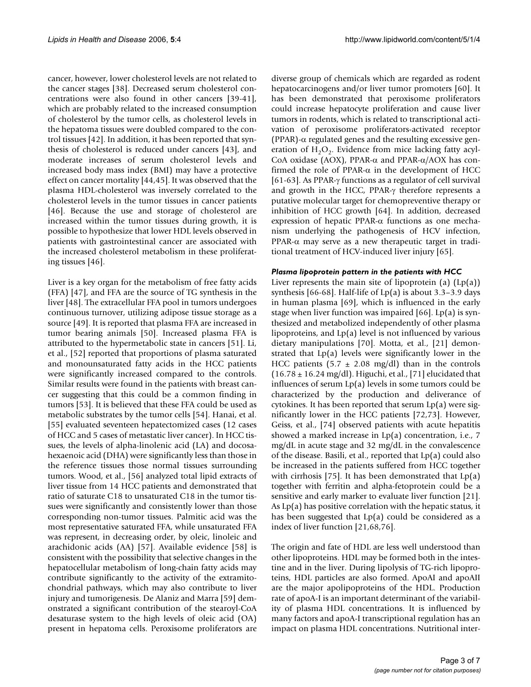cancer, however, lower cholesterol levels are not related to the cancer stages [38]. Decreased serum cholesterol concentrations were also found in other cancers [39-41], which are probably related to the increased consumption of cholesterol by the tumor cells, as cholesterol levels in the hepatoma tissues were doubled compared to the control tissues [42]. In addition, it has been reported that synthesis of cholesterol is reduced under cancers [43], and moderate increases of serum cholesterol levels and increased body mass index (BMI) may have a protective effect on cancer mortality [44,45]. It was observed that the plasma HDL-cholesterol was inversely correlated to the cholesterol levels in the tumor tissues in cancer patients [46]. Because the use and storage of cholesterol are increased within the tumor tissues during growth, it is possible to hypothesize that lower HDL levels observed in patients with gastrointestinal cancer are associated with the increased cholesterol metabolism in these proliferating tissues [46].

Liver is a key organ for the metabolism of free fatty acids (FFA) [47], and FFA are the source of TG synthesis in the liver [48]. The extracellular FFA pool in tumors undergoes continuous turnover, utilizing adipose tissue storage as a source [49]. It is reported that plasma FFA are increased in tumor bearing animals [50]. Increased plasma FFA is attributed to the hypermetabolic state in cancers [51]. Li, et al., [52] reported that proportions of plasma saturated and monounsaturated fatty acids in the HCC patients were significantly increased compared to the controls. Similar results were found in the patients with breast cancer suggesting that this could be a common finding in tumors [53]. It is believed that these FFA could be used as metabolic substrates by the tumor cells [54]. Hanai, et al. [55] evaluated seventeen hepatectomized cases (12 cases of HCC and 5 cases of metastatic liver cancer). In HCC tissues, the levels of alpha-linolenic acid (LA) and docosahexaenoic acid (DHA) were significantly less than those in the reference tissues those normal tissues surrounding tumors. Wood, et al., [56] analyzed total lipid extracts of liver tissue from 14 HCC patients and demonstrated that ratio of saturate C18 to unsaturated C18 in the tumor tissues were significantly and consistently lower than those corresponding non-tumor tissues. Palmitic acid was the most representative saturated FFA, while unsaturated FFA was represent, in decreasing order, by oleic, linoleic and arachidonic acids (AA) [57]. Available evidence [58] is consistent with the possibility that selective changes in the hepatocellular metabolism of long-chain fatty acids may contribute significantly to the activity of the extramitochondrial pathways, which may also contribute to liver injury and tumorigenesis. De Alaniz and Marra [59] demonstrated a significant contribution of the stearoyl-CoA desaturase system to the high levels of oleic acid (OA) present in hepatoma cells. Peroxisome proliferators are

diverse group of chemicals which are regarded as rodent hepatocarcinogens and/or liver tumor promoters [60]. It has been demonstrated that peroxisome proliferators could increase hepatocyte proliferation and cause liver tumors in rodents, which is related to transcriptional activation of peroxisome proliferators-activated receptor (PPAR)-α regulated genes and the resulting excessive generation of  $H_2O_2$ . Evidence from mice lacking fatty acyl-CoA oxidase (AOX), PPAR-α and PPAR-α/AOX has confirmed the role of PPAR- $\alpha$  in the development of HCC [61-63]. As PPAR-γ functions as a regulator of cell survival and growth in the HCC, PPAR-γ therefore represents a putative molecular target for chemopreventive therapy or inhibition of HCC growth [64]. In addition, decreased expression of hepatic PPAR-α functions as one mechanism underlying the pathogenesis of HCV infection, PPAR-α may serve as a new therapeutic target in traditional treatment of HCV-induced liver injury [65].

#### *Plasma lipoprotein pattern in the patients with HCC*

Liver represents the main site of lipoprotein (a)  $(Lp(a))$ synthesis [66-68]. Half-life of Lp(a) is about 3.3–3.9 days in human plasma [69], which is influenced in the early stage when liver function was impaired  $[66]$ . Lp(a) is synthesized and metabolized independently of other plasma lipoproteins, and Lp(a) level is not influenced by various dietary manipulations [70]. Motta, et al., [21] demonstrated that Lp(a) levels were significantly lower in the HCC patients (5.7  $\pm$  2.08 mg/dl) than in the controls  $(16.78 \pm 16.24 \text{ mg/dl})$ . Higuchi, et al., [71] elucidated that influences of serum Lp(a) levels in some tumors could be characterized by the production and deliverance of cytokines. It has been reported that serum Lp(a) were significantly lower in the HCC patients [72,73]. However, Geiss, et al., [74] observed patients with acute hepatitis showed a marked increase in Lp(a) concentration, i.e., 7 mg/dL in acute stage and 32 mg/dL in the convalescence of the disease. Basili, et al., reported that Lp(a) could also be increased in the patients suffered from HCC together with cirrhosis [75]. It has been demonstrated that  $Lp(a)$ together with ferritin and alpha-fetoprotein could be a sensitive and early marker to evaluate liver function [21]. As Lp(a) has positive correlation with the hepatic status, it has been suggested that Lp(a) could be considered as a index of liver function [21,68,76].

The origin and fate of HDL are less well understood than other lipoproteins. HDL may be formed both in the intestine and in the liver. During lipolysis of TG-rich lipoproteins, HDL particles are also formed. ApoAI and apoAII are the major apolipoproteins of the HDL. Production rate of apoA-I is an important determinant of the variability of plasma HDL concentrations. It is influenced by many factors and apoA-I transcriptional regulation has an impact on plasma HDL concentrations. Nutritional inter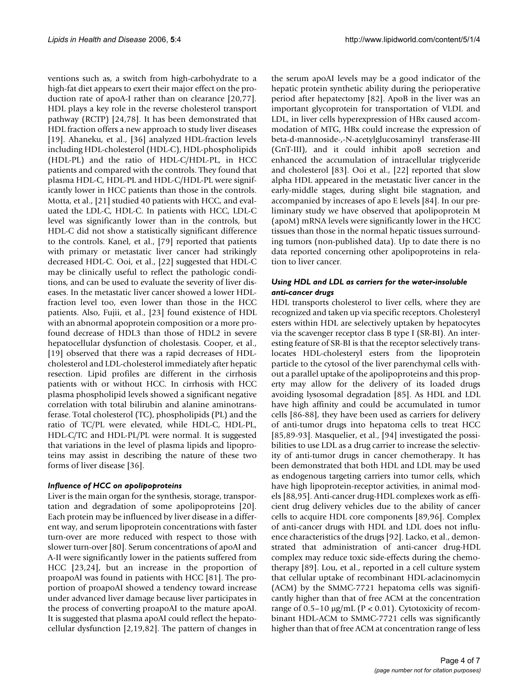ventions such as, a switch from high-carbohydrate to a high-fat diet appears to exert their major effect on the production rate of apoA-I rather than on clearance [20,77]. HDL plays a key role in the reverse cholesterol transport pathway (RCTP) [24,78]. It has been demonstrated that HDL fraction offers a new approach to study liver diseases [19]. Ahaneku, et al., [36] analyzed HDL-fraction levels including HDL-cholesterol (HDL-C), HDL-phospholipids (HDL-PL) and the ratio of HDL-C/HDL-PL, in HCC patients and compared with the controls. They found that plasma HDL-C, HDL-PL and HDL-C/HDL-PL were significantly lower in HCC patients than those in the controls. Motta, et al., [21] studied 40 patients with HCC, and evaluated the LDL-C, HDL-C. In patients with HCC, LDL-C level was significantly lower than in the controls, but HDL-C did not show a statistically significant difference to the controls. Kanel, et al., [79] reported that patients with primary or metastatic liver cancer had strikingly decreased HDL-C. Ooi, et al., [22] suggested that HDL-C may be clinically useful to reflect the pathologic conditions, and can be used to evaluate the severity of liver diseases. In the metastatic liver cancer showed a lower HDLfraction level too, even lower than those in the HCC patients. Also, Fujii, et al., [23] found existence of HDL with an abnormal apoprotein composition or a more profound decrease of HDL3 than those of HDL2 in severe hepatocellular dysfunction of cholestasis. Cooper, et al., [19] observed that there was a rapid decreases of HDLcholesterol and LDL-cholesterol immediately after hepatic resection. Lipid profiles are different in the cirrhosis patients with or without HCC. In cirrhosis with HCC plasma phospholipid levels showed a significant negative correlation with total bilirubin and alanine aminotransferase. Total cholesterol (TC), phospholipids (PL) and the ratio of TC/PL were elevated, while HDL-C, HDL-PL, HDL-C/TC and HDL-PL/PL were normal. It is suggested that variations in the level of plasma lipids and lipoproteins may assist in describing the nature of these two forms of liver disease [36].

## *Influence of HCC on apolipoproteins*

Liver is the main organ for the synthesis, storage, transportation and degradation of some apolipoproteins [20]. Each protein may be influenced by liver disease in a different way, and serum lipoprotein concentrations with faster turn-over are more reduced with respect to those with slower turn-over [80]. Serum concentrations of apoAI and A-II were significantly lower in the patients suffered from HCC [23,24], but an increase in the proportion of proapoAI was found in patients with HCC [81]. The proportion of proapoAI showed a tendency toward increase under advanced liver damage because liver participates in the process of converting proapoAI to the mature apoAI. It is suggested that plasma apoAI could reflect the hepatocellular dysfunction [2,19,82]. The pattern of changes in

the serum apoAI levels may be a good indicator of the hepatic protein synthetic ability during the perioperative period after hepatectomy [82]. ApoB in the liver was an important glycoprotein for transportation of VLDL and LDL, in liver cells hyperexpression of HBx caused accommodation of MTG, HBx could increase the expression of beta-d-mannoside-,-N-acetylglucosaminyl transferase-III (GnT-III), and it could inhibit apoB secretion and enhanced the accumulation of intracellular triglyceride and cholesterol [83]. Ooi et al., [22] reported that slow alpha HDL appeared in the metastatic liver cancer in the early-middle stages, during slight bile stagnation, and accompanied by increases of apo E levels [84]. In our preliminary study we have observed that apolipoprotein M (apoM) mRNA levels were significantly lower in the HCC tissues than those in the normal hepatic tissues surrounding tumors (non-published data). Up to date there is no data reported concerning other apolipoproteins in relation to liver cancer.

## *Using HDL and LDL as carriers for the water-insoluble anti-cancer drugs*

HDL transports cholesterol to liver cells, where they are recognized and taken up via specific receptors. Cholesteryl esters within HDL are selectively uptaken by hepatocytes via the scavenger receptor class B type I (SR-BI). An interesting feature of SR-BI is that the receptor selectively translocates HDL-cholesteryl esters from the lipoprotein particle to the cytosol of the liver parenchymal cells without a parallel uptake of the apolipoproteins and this property may allow for the delivery of its loaded drugs avoiding lysosomal degradation [85]. As HDL and LDL have high affinity and could be accumulated in tumor cells [86-88], they have been used as carriers for delivery of anti-tumor drugs into hepatoma cells to treat HCC [85,89-93]. Masquelier, et al., [94] investigated the possibilities to use LDL as a drug carrier to increase the selectivity of anti-tumor drugs in cancer chemotherapy. It has been demonstrated that both HDL and LDL may be used as endogenous targeting carriers into tumor cells, which have high lipoprotein-receptor activities, in animal models [88,95]. Anti-cancer drug-HDL complexes work as efficient drug delivery vehicles due to the ability of cancer cells to acquire HDL core components [89,96]. Complex of anti-cancer drugs with HDL and LDL does not influence characteristics of the drugs [92]. Lacko, et al., demonstrated that administration of anti-cancer drug-HDL complex may reduce toxic side-effects during the chemotherapy [89]. Lou, et al., reported in a cell culture system that cellular uptake of recombinant HDL-aclacinomycin (ACM) by the SMMC-7721 hepatoma cells was significantly higher than that of free ACM at the concentration range of  $0.5-10 \mu g/mL$  (P < 0.01). Cytotoxicity of recombinant HDL-ACM to SMMC-7721 cells was significantly higher than that of free ACM at concentration range of less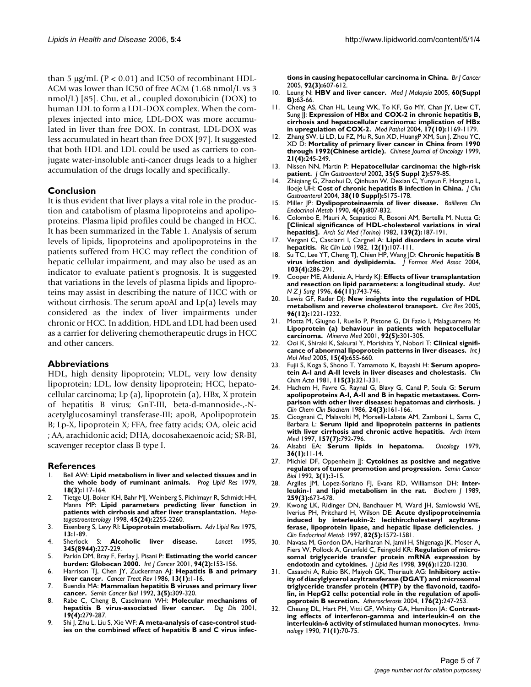than 5  $\mu$ g/mL (P < 0.01) and IC50 of recombinant HDL-ACM was lower than IC50 of free ACM (1.68 nmol/L vs 3 nmol/L) [85]. Chu, et al., coupled doxorubicin (DOX) to human LDL to form a LDL-DOX complex. When the complexes injected into mice, LDL-DOX was more accumulated in liver than free DOX. In contrast, LDL-DOX was less accumulated in heart than free DOX [97]. It suggested that both HDL and LDL could be used as carriers to conjugate water-insoluble anti-cancer drugs leads to a higher accumulation of the drugs locally and specifically.

## **Conclusion**

It is thus evident that liver plays a vital role in the production and catabolism of plasma lipoproteins and apolipoproteins. Plasma lipid profiles could be changed in HCC. It has been summarized in the Table 1. Analysis of serum levels of lipids, lipoproteins and apolipoproteins in the patients suffered from HCC may reflect the condition of hepatic cellular impairment, and may also be used as an indicator to evaluate patient's prognosis. It is suggested that variations in the levels of plasma lipids and lipoproteins may assist in describing the nature of HCC with or without cirrhosis. The serum apoAI and Lp(a) levels may considered as the index of liver impairments under chronic or HCC. In addition, HDL and LDL had been used as a carrier for delivering chemotherapeutic drugs in HCC and other cancers.

#### **Abbreviations**

HDL, high density lipoprotein; VLDL, very low density lipoprotein; LDL, low density lipoprotein; HCC, hepatocellular carcinoma; Lp (a), lipoprotein (a), HBx, X protein of hepatitis B virus; GnT-III, beta-d-mannoside-,-Nacetylglucosaminyl transferase-III; apoB, Apolipoprotein B; Lp-X, lipoprotein X; FFA, free fatty acids; OA, oleic acid ; AA, arachidonic acid; DHA, docosahexaenoic acid; SR-BI, scavenger receptor class B type I.

#### **References**

- 1. Bell AW: **[Lipid metabolism in liver and selected tissues and in](http://www.ncbi.nlm.nih.gov/entrez/query.fcgi?cmd=Retrieve&db=PubMed&dopt=Abstract&list_uids=396532) [the whole body of ruminant animals.](http://www.ncbi.nlm.nih.gov/entrez/query.fcgi?cmd=Retrieve&db=PubMed&dopt=Abstract&list_uids=396532)** *Prog Lipid Res* 1979, **18(3):**117-164.
- 2. Tietge UJ, Boker KH, Bahr MJ, Weinberg S, Pichlmayr R, Schmidt HH, Manns MP: **[Lipid parameters predicting liver function in](http://www.ncbi.nlm.nih.gov/entrez/query.fcgi?cmd=Retrieve&db=PubMed&dopt=Abstract&list_uids=9951906) [patients with cirrhosis and after liver transplantation.](http://www.ncbi.nlm.nih.gov/entrez/query.fcgi?cmd=Retrieve&db=PubMed&dopt=Abstract&list_uids=9951906)** *Hepatogastroenterology* 1998, **45(24):**2255-2260.
- 3. Eisenberg S, Levy RI: **[Lipoprotein metabolism.](http://www.ncbi.nlm.nih.gov/entrez/query.fcgi?cmd=Retrieve&db=PubMed&dopt=Abstract&list_uids=174409)** *Adv Lipid Res* 1975, **13:**1-89.
- 4. Sherlock S: **[Alcoholic liver disease.](http://www.ncbi.nlm.nih.gov/entrez/query.fcgi?cmd=Retrieve&db=PubMed&dopt=Abstract&list_uids=7823717)** *Lancet* 1995, **345(8944):**227-229.
- 5. Parkin DM, Bray F, Ferlay J, Pisani P: **[Estimating the world cancer](http://www.ncbi.nlm.nih.gov/entrez/query.fcgi?cmd=Retrieve&db=PubMed&dopt=Abstract&list_uids=11668491) [burden: Globocan 2000.](http://www.ncbi.nlm.nih.gov/entrez/query.fcgi?cmd=Retrieve&db=PubMed&dopt=Abstract&list_uids=11668491)** *Int J Cancer* 2001, **94(2):**153-156.
- 6. Harrison TJ, Chen JY, Zuckerman AJ: **[Hepatitis B and primary](http://www.ncbi.nlm.nih.gov/entrez/query.fcgi?cmd=Retrieve&db=PubMed&dopt=Abstract&list_uids=3013403) [liver cancer.](http://www.ncbi.nlm.nih.gov/entrez/query.fcgi?cmd=Retrieve&db=PubMed&dopt=Abstract&list_uids=3013403)** *Cancer Treat Rev* 1986, **13(1):**1-16.
- 7. Buendia MA: **[Mammalian hepatitis B viruses and primary liver](http://www.ncbi.nlm.nih.gov/entrez/query.fcgi?cmd=Retrieve&db=PubMed&dopt=Abstract&list_uids=1335794) [cancer.](http://www.ncbi.nlm.nih.gov/entrez/query.fcgi?cmd=Retrieve&db=PubMed&dopt=Abstract&list_uids=1335794)** *Semin Cancer Biol* 1992, **3(5):**309-320.
- 8. Rabe C, Cheng B, Caselmann WH: **[Molecular mechanisms of](http://www.ncbi.nlm.nih.gov/entrez/query.fcgi?cmd=Retrieve&db=PubMed&dopt=Abstract&list_uids=11935087) [hepatitis B virus-associated liver cancer.](http://www.ncbi.nlm.nih.gov/entrez/query.fcgi?cmd=Retrieve&db=PubMed&dopt=Abstract&list_uids=11935087)** *Dig Dis* 2001, **19(4):**279-287.
- 9. Shi J, Zhu L, Liu S, Xie WF: **[A meta-analysis of case-control stud](http://www.ncbi.nlm.nih.gov/entrez/query.fcgi?cmd=Retrieve&db=PubMed&dopt=Abstract&list_uids=15685242)[ies on the combined effect of hepatitis B and C virus infec-](http://www.ncbi.nlm.nih.gov/entrez/query.fcgi?cmd=Retrieve&db=PubMed&dopt=Abstract&list_uids=15685242)**

**[tions in causing hepatocellular carcinoma in China.](http://www.ncbi.nlm.nih.gov/entrez/query.fcgi?cmd=Retrieve&db=PubMed&dopt=Abstract&list_uids=15685242)** *Br J Cancer* 2005, **92(3):**607-612.

- 10. Leung N: **[HBV and liver cancer.](http://www.ncbi.nlm.nih.gov/entrez/query.fcgi?cmd=Retrieve&db=PubMed&dopt=Abstract&list_uids=16108176)** *Med J Malaysia* 2005, **60(Suppl B):**63-66.
- 11. Cheng AS, Chan HL, Leung WK, To KF, Go MY, Chan JY, Liew CT, Sung JJ: **[Expression of HBx and COX-2 in chronic hepatitis B,](http://www.ncbi.nlm.nih.gov/entrez/query.fcgi?cmd=Retrieve&db=PubMed&dopt=Abstract&list_uids=15218507) [cirrhosis and hepatocellular carcinoma: implication of HBx](http://www.ncbi.nlm.nih.gov/entrez/query.fcgi?cmd=Retrieve&db=PubMed&dopt=Abstract&list_uids=15218507) [in upregulation of COX-2.](http://www.ncbi.nlm.nih.gov/entrez/query.fcgi?cmd=Retrieve&db=PubMed&dopt=Abstract&list_uids=15218507)** *Mod Pathol* 2004, **17(10):**1169-1179.
- 12. Zhang SW, Li LD, Lu FZ, Mu R, Sun XD, HuangP XM, Sun J, Zhou YC, XD D: **[Mortality of primary liver cancer in China from 1990](http://www.ncbi.nlm.nih.gov/entrez/query.fcgi?cmd=Retrieve&db=PubMed&dopt=Abstract&list_uids=11776805) [through 1992\(Chinese article\).](http://www.ncbi.nlm.nih.gov/entrez/query.fcgi?cmd=Retrieve&db=PubMed&dopt=Abstract&list_uids=11776805)** *Chinese Journal of Oncology* 1999, **21(4):**245-249.
- 13. Nissen NN, Martin P: **[Hepatocellular carcinoma: the high-risk](http://www.ncbi.nlm.nih.gov/entrez/query.fcgi?cmd=Retrieve&db=PubMed&dopt=Abstract&list_uids=12394210) [patient.](http://www.ncbi.nlm.nih.gov/entrez/query.fcgi?cmd=Retrieve&db=PubMed&dopt=Abstract&list_uids=12394210)** *J Clin Gastroenterol* 2002, **35(5 Suppl 2):**S79-85.
- 14. Zhiqiang G, Zhaohui D, Qinhuan W, Dexian C, Yunyun F, Hongtao L, Iloeje UH: **[Cost of chronic hepatitis B infection in China.](http://www.ncbi.nlm.nih.gov/entrez/query.fcgi?cmd=Retrieve&db=PubMed&dopt=Abstract&list_uids=15602167)** *J Clin Gastroenterol* 2004, **38(10 Suppl):**S175-178.
- 15. Miller JP: **[Dyslipoproteinaemia of liver disease.](http://www.ncbi.nlm.nih.gov/entrez/query.fcgi?cmd=Retrieve&db=PubMed&dopt=Abstract&list_uids=2082907)** *Baillieres Clin Endocrinol Metab* 1990, **4(4):**807-832.
- 16. Colombo E, Mauri A, Scapaticci R, Bosoni AM, Bertella M, Nutta G: **[\[Clinical significance of HDL-cholesterol variations in viral](http://www.ncbi.nlm.nih.gov/entrez/query.fcgi?cmd=Retrieve&db=PubMed&dopt=Abstract&list_uids=6814401) [hepatitis\].](http://www.ncbi.nlm.nih.gov/entrez/query.fcgi?cmd=Retrieve&db=PubMed&dopt=Abstract&list_uids=6814401)** *Arch Sci Med (Torino)* 1982, **139(2):**187-191.
- 17. Vergani C, Casciarri I, Cargnel A: **[Lipid disorders in acute viral](http://www.ncbi.nlm.nih.gov/entrez/query.fcgi?cmd=Retrieve&db=PubMed&dopt=Abstract&list_uids=7089420) [hepatitis.](http://www.ncbi.nlm.nih.gov/entrez/query.fcgi?cmd=Retrieve&db=PubMed&dopt=Abstract&list_uids=7089420)** *Ric Clin Lab* 1982, **12(1):**107-111.
- 18. Su TC, Lee YT, Cheng TJ, Chien HP, Wang JD: **[Chronic hepatitis B](http://www.ncbi.nlm.nih.gov/entrez/query.fcgi?cmd=Retrieve&db=PubMed&dopt=Abstract&list_uids=15175824) [virus infection and dyslipidemia.](http://www.ncbi.nlm.nih.gov/entrez/query.fcgi?cmd=Retrieve&db=PubMed&dopt=Abstract&list_uids=15175824)** *J Formos Med Assoc* 2004, **103(4):**286-291.
- 19. Cooper ME, Akdeniz A, Hardy KJ: **[Effects of liver transplantation](http://www.ncbi.nlm.nih.gov/entrez/query.fcgi?cmd=Retrieve&db=PubMed&dopt=Abstract&list_uids=8918381) [and resection on lipid parameters: a longitudinal study.](http://www.ncbi.nlm.nih.gov/entrez/query.fcgi?cmd=Retrieve&db=PubMed&dopt=Abstract&list_uids=8918381)** *Aust N Z J Surg* 1996, **66(11):**743-746.
- 20. Lewis GF, Rader DJ: **[New insights into the regulation of HDL](http://www.ncbi.nlm.nih.gov/entrez/query.fcgi?cmd=Retrieve&db=PubMed&dopt=Abstract&list_uids=15976321) [metabolism and reverse cholesterol transport.](http://www.ncbi.nlm.nih.gov/entrez/query.fcgi?cmd=Retrieve&db=PubMed&dopt=Abstract&list_uids=15976321)** *Circ Res* 2005, **96(12):**1221-1232.
- 21. Motta M, Giugno I, Ruello P, Pistone G, Di Fazio I, Malaguarnera M: **[Lipoprotein \(a\) behaviour in patients with hepatocellular](http://www.ncbi.nlm.nih.gov/entrez/query.fcgi?cmd=Retrieve&db=PubMed&dopt=Abstract&list_uids=11675573) [carcinoma.](http://www.ncbi.nlm.nih.gov/entrez/query.fcgi?cmd=Retrieve&db=PubMed&dopt=Abstract&list_uids=11675573)** *Minerva Med* 2001, **92(5):**301-305.
- 22. Ooi K, Shiraki K, Sakurai Y, Morishita Y, Nobori T: **[Clinical signifi](http://www.ncbi.nlm.nih.gov/entrez/query.fcgi?cmd=Retrieve&db=PubMed&dopt=Abstract&list_uids=15754028)[cance of abnormal lipoprotein patterns in liver diseases.](http://www.ncbi.nlm.nih.gov/entrez/query.fcgi?cmd=Retrieve&db=PubMed&dopt=Abstract&list_uids=15754028)** *Int J Mol Med* 2005, **15(4):**655-660.
- 23. Fujii S, Koga S, Shono T, Yamamoto K, Ibayashi H: **[Serum apopro](http://www.ncbi.nlm.nih.gov/entrez/query.fcgi?cmd=Retrieve&db=PubMed&dopt=Abstract&list_uids=6271423)[tein A-I and A-II levels in liver diseases and cholestasis.](http://www.ncbi.nlm.nih.gov/entrez/query.fcgi?cmd=Retrieve&db=PubMed&dopt=Abstract&list_uids=6271423)** *Clin Chim Acta* 1981, **115(3):**321-331.
- 24. Hachem H, Favre G, Raynal G, Blavy G, Canal P, Soula G: **[Serum](http://www.ncbi.nlm.nih.gov/entrez/query.fcgi?cmd=Retrieve&db=PubMed&dopt=Abstract&list_uids=2872262) [apolipoproteins A-I, A-II and B in hepatic metastases. Com](http://www.ncbi.nlm.nih.gov/entrez/query.fcgi?cmd=Retrieve&db=PubMed&dopt=Abstract&list_uids=2872262)[parison with other liver diseases: hepatomas and cirrhosis.](http://www.ncbi.nlm.nih.gov/entrez/query.fcgi?cmd=Retrieve&db=PubMed&dopt=Abstract&list_uids=2872262)** *J Clin Chem Clin Biochem* 1986, **24(3):**161-166.
- 25. Cicognani C, Malavolti M, Morselli-Labate AM, Zamboni L, Sama C, Barbara L: **[Serum lipid and lipoprotein patterns in patients](http://www.ncbi.nlm.nih.gov/entrez/query.fcgi?cmd=Retrieve&db=PubMed&dopt=Abstract&list_uids=9125012) [with liver cirrhosis and chronic active hepatitis.](http://www.ncbi.nlm.nih.gov/entrez/query.fcgi?cmd=Retrieve&db=PubMed&dopt=Abstract&list_uids=9125012)** *Arch Intern Med* 1997, **157(7):**792-796.
- 26. Alsabti EA: **[Serum lipids in hepatoma.](http://www.ncbi.nlm.nih.gov/entrez/query.fcgi?cmd=Retrieve&db=PubMed&dopt=Abstract&list_uids=221872)** *Oncology* 1979, **36(1):**11-14.
- 27. Michiel DF, Oppenheim JJ: **[Cytokines as positive and negative](http://www.ncbi.nlm.nih.gov/entrez/query.fcgi?cmd=Retrieve&db=PubMed&dopt=Abstract&list_uids=1322742) [regulators of tumor promotion and progression.](http://www.ncbi.nlm.nih.gov/entrez/query.fcgi?cmd=Retrieve&db=PubMed&dopt=Abstract&list_uids=1322742)** *Semin Cancer Biol* 1992, **3(1):**3-15.
- 28. Argiles JM, Lopez-Soriano FJ, Evans RD, Williamson DH: **[Inter](http://www.ncbi.nlm.nih.gov/entrez/query.fcgi?cmd=Retrieve&db=PubMed&dopt=Abstract&list_uids=2658976)[leukin-1 and lipid metabolism in the rat.](http://www.ncbi.nlm.nih.gov/entrez/query.fcgi?cmd=Retrieve&db=PubMed&dopt=Abstract&list_uids=2658976)** *Biochem J* 1989, **259(3):**673-678.
- Kwong LK, Ridinger DN, Bandhauer M, Ward JH, Samlowski WE, Iverius PH, Pritchard H, Wilson DE: **[Acute dyslipoproteinemia](http://www.ncbi.nlm.nih.gov/entrez/query.fcgi?cmd=Retrieve&db=PubMed&dopt=Abstract&list_uids=9141552)** [induced by interleukin-2: lecithin:cholesteryl acyltrans](http://www.ncbi.nlm.nih.gov/entrez/query.fcgi?cmd=Retrieve&db=PubMed&dopt=Abstract&list_uids=9141552)**[ferase, lipoprotein lipase, and hepatic lipase deficiencies.](http://www.ncbi.nlm.nih.gov/entrez/query.fcgi?cmd=Retrieve&db=PubMed&dopt=Abstract&list_uids=9141552)** *J Clin Endocrinol Metab* 1997, **82(5):**1572-1581.
- 30. Navasa M, Gordon DA, Hariharan N, Jamil H, Shigenaga JK, Moser A, Fiers W, Pollock A, Grunfeld C, Feingold KR: **[Regulation of micro](http://www.ncbi.nlm.nih.gov/entrez/query.fcgi?cmd=Retrieve&db=PubMed&dopt=Abstract&list_uids=9643353)[somal triglyceride transfer protein mRNA expression by](http://www.ncbi.nlm.nih.gov/entrez/query.fcgi?cmd=Retrieve&db=PubMed&dopt=Abstract&list_uids=9643353) [endotoxin and cytokines.](http://www.ncbi.nlm.nih.gov/entrez/query.fcgi?cmd=Retrieve&db=PubMed&dopt=Abstract&list_uids=9643353)** *J Lipid Res* 1998, **39(6):**1220-1230.
- 31. Casaschi A, Rubio BK, Maiyoh GK, Theriault AG: **[Inhibitory activ](http://www.ncbi.nlm.nih.gov/entrez/query.fcgi?cmd=Retrieve&db=PubMed&dopt=Abstract&list_uids=15380446)ity of diacylglycerol acyltransferase (DGAT) and microsomal [triglyceride transfer protein \(MTP\) by the flavonoid, taxifo](http://www.ncbi.nlm.nih.gov/entrez/query.fcgi?cmd=Retrieve&db=PubMed&dopt=Abstract&list_uids=15380446)lin, in HepG2 cells: potential role in the regulation of apoli[poprotein B secretion.](http://www.ncbi.nlm.nih.gov/entrez/query.fcgi?cmd=Retrieve&db=PubMed&dopt=Abstract&list_uids=15380446)** *Atherosclerosis* 2004, **176(2):**247-253.
- 32. Cheung DL, Hart PH, Vitti GF, Whitty GA, Hamilton JA: **[Contrast](http://www.ncbi.nlm.nih.gov/entrez/query.fcgi?cmd=Retrieve&db=PubMed&dopt=Abstract&list_uids=2120129)[ing effects of interferon-gamma and interleukin-4 on the](http://www.ncbi.nlm.nih.gov/entrez/query.fcgi?cmd=Retrieve&db=PubMed&dopt=Abstract&list_uids=2120129) [interleukin-6 activity of stimulated human monocytes.](http://www.ncbi.nlm.nih.gov/entrez/query.fcgi?cmd=Retrieve&db=PubMed&dopt=Abstract&list_uids=2120129)** *Immunology* 1990, **71(1):**70-75.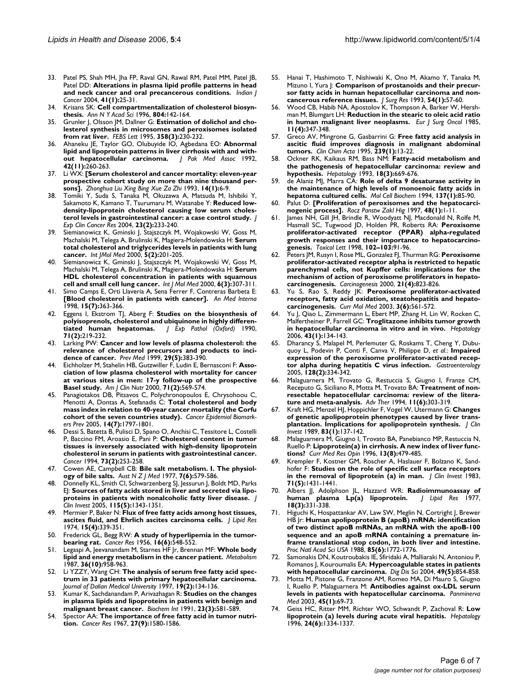- 33. Patel PS, Shah MH, Jha FP, Raval GN, Rawal RM, Patel MM, Patel JB, Patel DD: **[Alterations in plasma lipid profile patterns in head](http://www.ncbi.nlm.nih.gov/entrez/query.fcgi?cmd=Retrieve&db=PubMed&dopt=Abstract&list_uids=15105576) [and neck cancer and oral precancerous conditions.](http://www.ncbi.nlm.nih.gov/entrez/query.fcgi?cmd=Retrieve&db=PubMed&dopt=Abstract&list_uids=15105576)** *Indian J Cancer* 2004, **41(1):**25-31.
- 34. Krisans SK: **[Cell compartmentalization of cholesterol biosyn](http://www.ncbi.nlm.nih.gov/entrez/query.fcgi?cmd=Retrieve&db=PubMed&dopt=Abstract&list_uids=8993542)[thesis.](http://www.ncbi.nlm.nih.gov/entrez/query.fcgi?cmd=Retrieve&db=PubMed&dopt=Abstract&list_uids=8993542)** *Ann N Y Acad Sci* 1996, **804:**142-164.
- 35. Grunler J, Olsson JM, Dallner G: **[Estimation of dolichol and cho](http://www.ncbi.nlm.nih.gov/entrez/query.fcgi?cmd=Retrieve&db=PubMed&dopt=Abstract&list_uids=7843406)[lesterol synthesis in microsomes and peroxisomes isolated](http://www.ncbi.nlm.nih.gov/entrez/query.fcgi?cmd=Retrieve&db=PubMed&dopt=Abstract&list_uids=7843406) [from rat liver.](http://www.ncbi.nlm.nih.gov/entrez/query.fcgi?cmd=Retrieve&db=PubMed&dopt=Abstract&list_uids=7843406)** *FEBS Lett* 1995, **358(3):**230-232.
- 36. Ahaneku JE, Taylor GO, Olubuyide IO, Agbedana EO: **[Abnormal](http://www.ncbi.nlm.nih.gov/entrez/query.fcgi?cmd=Retrieve&db=PubMed&dopt=Abstract&list_uids=1336073) [lipid and lipoprotein patterns in liver cirrhosis with and with](http://www.ncbi.nlm.nih.gov/entrez/query.fcgi?cmd=Retrieve&db=PubMed&dopt=Abstract&list_uids=1336073)[out hepatocellular carcinoma.](http://www.ncbi.nlm.nih.gov/entrez/query.fcgi?cmd=Retrieve&db=PubMed&dopt=Abstract&list_uids=1336073)** *J Pak Med Assoc* 1992, **42(11):**260-263.
- 37. Li WX: **[\[Serum cholesterol and cancer mortality: eleven-year](http://www.ncbi.nlm.nih.gov/entrez/query.fcgi?cmd=Retrieve&db=PubMed&dopt=Abstract&list_uids=8504456) [prospective cohort study on more than nine thousand per](http://www.ncbi.nlm.nih.gov/entrez/query.fcgi?cmd=Retrieve&db=PubMed&dopt=Abstract&list_uids=8504456)[sons\].](http://www.ncbi.nlm.nih.gov/entrez/query.fcgi?cmd=Retrieve&db=PubMed&dopt=Abstract&list_uids=8504456)** *Zhonghua Liu Xing Bing Xue Za Zhi* 1993, **14(1):**6-9.
- 38. Tomiki Y, Suda S, Tanaka M, Okuzawa A, Matsuda M, Ishibiki Y, Sakamoto K, Kamano T, Tsurumaru M, Watanabe Y: **[Reduced low](http://www.ncbi.nlm.nih.gov/entrez/query.fcgi?cmd=Retrieve&db=PubMed&dopt=Abstract&list_uids=15354407)[density-lipoprotein cholesterol causing low serum choles](http://www.ncbi.nlm.nih.gov/entrez/query.fcgi?cmd=Retrieve&db=PubMed&dopt=Abstract&list_uids=15354407)[terol levels in gastrointestinal cancer: a case control study.](http://www.ncbi.nlm.nih.gov/entrez/query.fcgi?cmd=Retrieve&db=PubMed&dopt=Abstract&list_uids=15354407)** *J Exp Clin Cancer Res* 2004, **23(2):**233-240.
- 39. Siemianowicz K, Gminski J, Stajszczyk M, Wojakowski W, Goss M, Machalski M, Telega A, Brulinski K, Magiera-Molendowska H: **Serum total cholesterol and triglycerides levels in patients with lung cancer.** *Int JMol Med* 2000, **5(2):**201-205.
- 40. Siemianowicz K, Gminski J, Stajszczyk M, Wojakowski W, Goss M, Machalski M, Telega A, Brulinski K, Magiera-Molendowska H: **[Serum](http://www.ncbi.nlm.nih.gov/entrez/query.fcgi?cmd=Retrieve&db=PubMed&dopt=Abstract&list_uids=10934294) [HDL cholesterol concentration in patients with squamous](http://www.ncbi.nlm.nih.gov/entrez/query.fcgi?cmd=Retrieve&db=PubMed&dopt=Abstract&list_uids=10934294) [cell and small cell lung cancer.](http://www.ncbi.nlm.nih.gov/entrez/query.fcgi?cmd=Retrieve&db=PubMed&dopt=Abstract&list_uids=10934294)** *Int J Mol Med* 2000, **6(3):**307-311.
- Simo Camps E, Orti Llaveria A, Sena Ferrer F, Contreras Barbeta E: **[Blood cholesterol in patients with cancer].** *An Med lnterna* 1998, **15(7):**363-366.
- 42. Eggens I, Ekstrom TJ, Aberg F: **[Studies on the biosynthesis of](http://www.ncbi.nlm.nih.gov/entrez/query.fcgi?cmd=Retrieve&db=PubMed&dopt=Abstract&list_uids=2158804) [polyisoprenols, cholesterol and ubiquinone in highly differen](http://www.ncbi.nlm.nih.gov/entrez/query.fcgi?cmd=Retrieve&db=PubMed&dopt=Abstract&list_uids=2158804)[tiated human hepatomas.](http://www.ncbi.nlm.nih.gov/entrez/query.fcgi?cmd=Retrieve&db=PubMed&dopt=Abstract&list_uids=2158804)** *J Exp Pathol (Oxford)* 1990, **71(2):**219-232.
- 43. Larking PW: **[Cancer and low levels of plasma cholesterol: the](http://www.ncbi.nlm.nih.gov/entrez/query.fcgi?cmd=Retrieve&db=PubMed&dopt=Abstract&list_uids=10564630) [relevance of cholesterol precursors and products to inci](http://www.ncbi.nlm.nih.gov/entrez/query.fcgi?cmd=Retrieve&db=PubMed&dopt=Abstract&list_uids=10564630)[dence of cancer.](http://www.ncbi.nlm.nih.gov/entrez/query.fcgi?cmd=Retrieve&db=PubMed&dopt=Abstract&list_uids=10564630)** *Prev Med* 1999, **29(5):**383-390.
- 44. Eichholzer M, Stahelin HB, Gutzwiller F, Ludin E, Bernasconi F: **[Asso](http://www.ncbi.nlm.nih.gov/entrez/query.fcgi?cmd=Retrieve&db=PubMed&dopt=Abstract&list_uids=10648273)ciation of low plasma cholesterol with mortality for cancer [at various sites in men: 17-y follow-up of the prospective](http://www.ncbi.nlm.nih.gov/entrez/query.fcgi?cmd=Retrieve&db=PubMed&dopt=Abstract&list_uids=10648273) [Basel study.](http://www.ncbi.nlm.nih.gov/entrez/query.fcgi?cmd=Retrieve&db=PubMed&dopt=Abstract&list_uids=10648273)** *Am J Clin Nutr* 2000, **71(2):**569-574.
- 45. Panagiotakos DB, Pitsavos C, Polychronopoulos E, Chrysohoou C, Menotti A, Dontas A, Stefanadis C: **[Total cholesterol and body](http://www.ncbi.nlm.nih.gov/entrez/query.fcgi?cmd=Retrieve&db=PubMed&dopt=Abstract&list_uids=16030119) [mass index in relation to 40-year cancer mortality \(the Corfu](http://www.ncbi.nlm.nih.gov/entrez/query.fcgi?cmd=Retrieve&db=PubMed&dopt=Abstract&list_uids=16030119) [cohort of the seven countries study\).](http://www.ncbi.nlm.nih.gov/entrez/query.fcgi?cmd=Retrieve&db=PubMed&dopt=Abstract&list_uids=16030119)** *Cancer Epidemiol Biomarkers Prev* 2005, **14(7):**1797-1801.
- 46. Dessi S, Batetta B, Pulisci D, Spano O, Anchisi C, Tessitore L, Costelli P, Baccino FM, Aroasio E, Pani P: **[Cholesterol content in tumor](http://www.ncbi.nlm.nih.gov/entrez/query.fcgi?cmd=Retrieve&db=PubMed&dopt=Abstract&list_uids=8293385) tissues is inversely associated with high-density lipoprotein [cholesterol in serum in patients with gastrointestinal cancer.](http://www.ncbi.nlm.nih.gov/entrez/query.fcgi?cmd=Retrieve&db=PubMed&dopt=Abstract&list_uids=8293385)** *Cancer* 1994, **73(2):**253-258.
- 47. Cowen AE, Campbell CB: **[Bile salt metabolism. I. The physiol](http://www.ncbi.nlm.nih.gov/entrez/query.fcgi?cmd=Retrieve&db=PubMed&dopt=Abstract&list_uids=274936)[ogy of bile salts.](http://www.ncbi.nlm.nih.gov/entrez/query.fcgi?cmd=Retrieve&db=PubMed&dopt=Abstract&list_uids=274936)** *Aust N Z J Med* 1977, **7(6):**579-586.
- 48. Donnelly KL, Smith CI, Schwarzenberg SJ, Jessurun J, Boldt MD, Parks EJ: **[Sources of fatty acids stored in liver and secreted via lipo](http://www.ncbi.nlm.nih.gov/entrez/query.fcgi?cmd=Retrieve&db=PubMed&dopt=Abstract&list_uids=15864352)[proteins in patients with nonalcoholic fatty liver disease.](http://www.ncbi.nlm.nih.gov/entrez/query.fcgi?cmd=Retrieve&db=PubMed&dopt=Abstract&list_uids=15864352)** *J Clin Invest* 2005, **115(5):**1343-1351.
- 49. Mermier P, Baker N: **[Flux of free fatty acids among host tissues,](http://www.ncbi.nlm.nih.gov/entrez/query.fcgi?cmd=Retrieve&db=PubMed&dopt=Abstract&list_uids=4852070) [ascites fluid, and Ehrlich ascites carcinoma cells.](http://www.ncbi.nlm.nih.gov/entrez/query.fcgi?cmd=Retrieve&db=PubMed&dopt=Abstract&list_uids=4852070)** *J Lipid Res* 1974, **15(4):**339-351.
- Frederick GL, Begg RW: [A study of hyperlipemia in the tumor](http://www.ncbi.nlm.nih.gov/entrez/query.fcgi?cmd=Retrieve&db=PubMed&dopt=Abstract&list_uids=13343128)**[bearing rat.](http://www.ncbi.nlm.nih.gov/entrez/query.fcgi?cmd=Retrieve&db=PubMed&dopt=Abstract&list_uids=13343128)** *Cancer Res* 1956, **16(6):**548-552.
- 51. Legaspi A, Jeevanandam M, Starnes HF Jr, Brennan MF: **[Whole body](http://www.ncbi.nlm.nih.gov/entrez/query.fcgi?cmd=Retrieve&db=PubMed&dopt=Abstract&list_uids=3657515) [lipid and energy metabolism in the cancer patient.](http://www.ncbi.nlm.nih.gov/entrez/query.fcgi?cmd=Retrieve&db=PubMed&dopt=Abstract&list_uids=3657515)** *Metabolism* 1987, **36(10):**958-963.
- 52. Li YZZY, Wang CH: **The analysis of serum free fatty acid spectrum in 33 patients with primary hepatocellular carcinoma.** *Journal of Dalian Medical University* 1997, **19(2):**134-136.
- 53. Kumar K, Sachdanandam P, Arivazhagan R: **[Studies on the changes](http://www.ncbi.nlm.nih.gov/entrez/query.fcgi?cmd=Retrieve&db=PubMed&dopt=Abstract&list_uids=1877995) [in plasma lipids and lipoproteins in patients with benign and](http://www.ncbi.nlm.nih.gov/entrez/query.fcgi?cmd=Retrieve&db=PubMed&dopt=Abstract&list_uids=1877995) [malignant breast cancer.](http://www.ncbi.nlm.nih.gov/entrez/query.fcgi?cmd=Retrieve&db=PubMed&dopt=Abstract&list_uids=1877995)** *Biochem Int* 1991, **23(3):**581-589.
- 54. Spector AA: **[The importance of free fatty acid in tumor nutri](http://www.ncbi.nlm.nih.gov/entrez/query.fcgi?cmd=Retrieve&db=PubMed&dopt=Abstract&list_uids=6051271)[tion.](http://www.ncbi.nlm.nih.gov/entrez/query.fcgi?cmd=Retrieve&db=PubMed&dopt=Abstract&list_uids=6051271)** *Cancer Res* 1967, **27(9):**1580-1586.
- 55. Hanai T, Hashimoto T, Nishiwaki K, Ono M, Akamo Y, Tanaka M, Mizuno I, Yura J: **[Comparison of prostanoids and their precur](http://www.ncbi.nlm.nih.gov/entrez/query.fcgi?cmd=Retrieve&db=PubMed&dopt=Abstract&list_uids=8094103)[sor fatty acids in human hepatocellular carcinoma and non](http://www.ncbi.nlm.nih.gov/entrez/query.fcgi?cmd=Retrieve&db=PubMed&dopt=Abstract&list_uids=8094103)[cancerous reference tissues.](http://www.ncbi.nlm.nih.gov/entrez/query.fcgi?cmd=Retrieve&db=PubMed&dopt=Abstract&list_uids=8094103)** *J Surg Res* 1993, **54(1):**57-60.
- 56. Wood CB, Habib NA, Apostolov K, Thompson A, Barker W, Hershman M, Blumgart LH: **[Reduction in the stearic to oleic acid ratio](http://www.ncbi.nlm.nih.gov/entrez/query.fcgi?cmd=Retrieve&db=PubMed&dopt=Abstract&list_uids=2998886) [in human malignant liver neoplasms.](http://www.ncbi.nlm.nih.gov/entrez/query.fcgi?cmd=Retrieve&db=PubMed&dopt=Abstract&list_uids=2998886)** *Eur J Surg Oncol* 1985, **11(4):**347-348.
- 57. Greco AV, Mingrone G, Gasbarrini G: **[Free fatty acid analysis in](http://www.ncbi.nlm.nih.gov/entrez/query.fcgi?cmd=Retrieve&db=PubMed&dopt=Abstract&list_uids=7586583) [ascitic fluid improves diagnosis in malignant abdominal](http://www.ncbi.nlm.nih.gov/entrez/query.fcgi?cmd=Retrieve&db=PubMed&dopt=Abstract&list_uids=7586583) [tumors.](http://www.ncbi.nlm.nih.gov/entrez/query.fcgi?cmd=Retrieve&db=PubMed&dopt=Abstract&list_uids=7586583)** *Clin Chim Acta* 1995, **239(1):**13-22.
- 58. Ockner RK, Kaikaus RM, Bass NM: **[Fatty-acid metabolism and](http://www.ncbi.nlm.nih.gov/entrez/query.fcgi?cmd=Retrieve&db=PubMed&dopt=Abstract&list_uids=8395460) [the pathogenesis of hepatocellular carcinoma: review and](http://www.ncbi.nlm.nih.gov/entrez/query.fcgi?cmd=Retrieve&db=PubMed&dopt=Abstract&list_uids=8395460) [hypothesis.](http://www.ncbi.nlm.nih.gov/entrez/query.fcgi?cmd=Retrieve&db=PubMed&dopt=Abstract&list_uids=8395460)** *Hepatology* 1993, **18(3):**669-676.
- 59. de Alaniz MJ, Marra CA: **[Role of delta 9 desaturase activity in](http://www.ncbi.nlm.nih.gov/entrez/query.fcgi?cmd=Retrieve&db=PubMed&dopt=Abstract&list_uids=7845382) [the maintenance of high levels of monoenoic fatty acids in](http://www.ncbi.nlm.nih.gov/entrez/query.fcgi?cmd=Retrieve&db=PubMed&dopt=Abstract&list_uids=7845382) [hepatoma cultured cells.](http://www.ncbi.nlm.nih.gov/entrez/query.fcgi?cmd=Retrieve&db=PubMed&dopt=Abstract&list_uids=7845382)** *Mol Cell Biochem* 1994, **137(1):**85-90.
- Palut D: *[\[Proliferation of peroxisomes and the hepatocarci](http://www.ncbi.nlm.nih.gov/entrez/query.fcgi?cmd=Retrieve&db=PubMed&dopt=Abstract&list_uids=9273657)***[nogenic process\].](http://www.ncbi.nlm.nih.gov/entrez/query.fcgi?cmd=Retrieve&db=PubMed&dopt=Abstract&list_uids=9273657)** *Rocz Panstw Zakl Hig* 1997, **48(1):**1-11.
- 61. James NH, Gill JH, Brindle R, Woodyatt NJ, Macdonald N, Rolfe M, Hasmall SC, Tugwood JD, Holden PR, Roberts RA: **Peroxisome proliferator-activated receptor (PPAR) alpha-regulated growth responses and their importance to hepatocarcinogenesis.** *Toxicol Lett* 1998, **102–103:**91-96.
- 62. Peters JM, Rusyn I, Rose ML, Gonzalez FJ, Thurman RG: **[Peroxisome](http://www.ncbi.nlm.nih.gov/entrez/query.fcgi?cmd=Retrieve&db=PubMed&dopt=Abstract&list_uids=10753222) proliferator-activated receptor alpha is restricted to hepatic [parenchymal cells, not Kupffer cells: implications for the](http://www.ncbi.nlm.nih.gov/entrez/query.fcgi?cmd=Retrieve&db=PubMed&dopt=Abstract&list_uids=10753222) mechanism of action of peroxisome proliferators in hepato[carcinogenesis.](http://www.ncbi.nlm.nih.gov/entrez/query.fcgi?cmd=Retrieve&db=PubMed&dopt=Abstract&list_uids=10753222)** *Carcinogenesis* 2000, **21(4):**823-826.
- 63. Yu S, Rao S, Reddy JK: **[Peroxisome proliferator-activated](http://www.ncbi.nlm.nih.gov/entrez/query.fcgi?cmd=Retrieve&db=PubMed&dopt=Abstract&list_uids=14527087) [receptors, fatty acid oxidation, steatohepatitis and hepato](http://www.ncbi.nlm.nih.gov/entrez/query.fcgi?cmd=Retrieve&db=PubMed&dopt=Abstract&list_uids=14527087)[carcinogenesis.](http://www.ncbi.nlm.nih.gov/entrez/query.fcgi?cmd=Retrieve&db=PubMed&dopt=Abstract&list_uids=14527087)** *Curr Mol Med* 2003, **3(6):**561-572.
- 64. Yu J, Qiao L, Zimmermann L, Ebert MP, Zhang H, Lin W, Rocken C, Malfertheiner P, Farrell GC: **[Troglitazone inhibits tumor growth](http://www.ncbi.nlm.nih.gov/entrez/query.fcgi?cmd=Retrieve&db=PubMed&dopt=Abstract&list_uids=16374840) [in hepatocellular carcinoma in vitro and in vivo.](http://www.ncbi.nlm.nih.gov/entrez/query.fcgi?cmd=Retrieve&db=PubMed&dopt=Abstract&list_uids=16374840)** *Hepatology* 2006, **43(1):**134-143.
- 65. Dharancy S, Malapel M, Perlemuter G, Roskams T, Cheng Y, Dubuquoy L, Podevin P, Conti F, Canva V, Philippe D, *et al.*: **[Impaired](http://www.ncbi.nlm.nih.gov/entrez/query.fcgi?cmd=Retrieve&db=PubMed&dopt=Abstract&list_uids=15685545) [expression of the peroxisome proliferator-activated recep](http://www.ncbi.nlm.nih.gov/entrez/query.fcgi?cmd=Retrieve&db=PubMed&dopt=Abstract&list_uids=15685545)[tor alpha during hepatitis C virus infection.](http://www.ncbi.nlm.nih.gov/entrez/query.fcgi?cmd=Retrieve&db=PubMed&dopt=Abstract&list_uids=15685545)** *Gastroenterology* 2005, **128(2):**334-342.
- 66. Malaguarnera M, Trovato G, Restuccia S, Giugno I, Franze CM, Receputo G, Siciliano R, Motta M, Trovato BA: **[Treatment of non](http://www.ncbi.nlm.nih.gov/entrez/query.fcgi?cmd=Retrieve&db=PubMed&dopt=Abstract&list_uids=10150270)[resectable hepatocellular carcinoma: review of the litera](http://www.ncbi.nlm.nih.gov/entrez/query.fcgi?cmd=Retrieve&db=PubMed&dopt=Abstract&list_uids=10150270)[ture and meta-analysis.](http://www.ncbi.nlm.nih.gov/entrez/query.fcgi?cmd=Retrieve&db=PubMed&dopt=Abstract&list_uids=10150270)** *Adv Ther* 1994, **11(6):**303-319.
- 67. Kraft HG, Menzel HJ, Hoppichler F, Vogel W, Utermann G: **[Changes](http://www.ncbi.nlm.nih.gov/entrez/query.fcgi?cmd=Retrieve&db=PubMed&dopt=Abstract&list_uids=2521341) [of genetic apolipoprotein phenotypes caused by liver trans](http://www.ncbi.nlm.nih.gov/entrez/query.fcgi?cmd=Retrieve&db=PubMed&dopt=Abstract&list_uids=2521341)[plantation. Implications for apolipoprotein synthesis.](http://www.ncbi.nlm.nih.gov/entrez/query.fcgi?cmd=Retrieve&db=PubMed&dopt=Abstract&list_uids=2521341)** *J Clin Invest* 1989, **83(1):**137-142.
- 68. Malaguarnera M, Giugno I, Trovato BA, Panebianco MP, Restuccia N, Ruello P: **[Lipoprotein\(a\) in cirrhosis. A new index of liver func](http://www.ncbi.nlm.nih.gov/entrez/query.fcgi?cmd=Retrieve&db=PubMed&dopt=Abstract&list_uids=9010614)[tions?](http://www.ncbi.nlm.nih.gov/entrez/query.fcgi?cmd=Retrieve&db=PubMed&dopt=Abstract&list_uids=9010614)** *Curr Med Res Opin* 1996, **13(8):**479-485.
- Krempler F, Kostner GM, Roscher A, Haslauer F, Bolzano K, Sandhofer F: **[Studies on the role of specific cell surface receptors](http://www.ncbi.nlm.nih.gov/entrez/query.fcgi?cmd=Retrieve&db=PubMed&dopt=Abstract&list_uids=6304146) [in the removal of lipoprotein \(a\) in man.](http://www.ncbi.nlm.nih.gov/entrez/query.fcgi?cmd=Retrieve&db=PubMed&dopt=Abstract&list_uids=6304146)** *J Clin Invest* 1983, **71(5):**1431-1441.
- 70. Albers JJ, Adolphson JL, Hazzard WR: **[Radioimmunoassay of](http://www.ncbi.nlm.nih.gov/entrez/query.fcgi?cmd=Retrieve&db=PubMed&dopt=Abstract&list_uids=405443) [human plasma Lp\(a\) lipoprotein.](http://www.ncbi.nlm.nih.gov/entrez/query.fcgi?cmd=Retrieve&db=PubMed&dopt=Abstract&list_uids=405443)** *J Lipid Res* 1977, **18(3):**331-338.
- 71. Higuchi K, Hospattankar AV, Law SW, Meglin N, Cortright J, Brewer HB Jr: **[Human apolipoprotein B \(apoB\) mRNA: identification](http://www.ncbi.nlm.nih.gov/entrez/query.fcgi?cmd=Retrieve&db=PubMed&dopt=Abstract&list_uids=2450346) of two distinct apoB mRNAs, an mRNA with the apoB-100 [sequence and an apoB mRNA containing a premature in](http://www.ncbi.nlm.nih.gov/entrez/query.fcgi?cmd=Retrieve&db=PubMed&dopt=Abstract&list_uids=2450346)frame translational stop codon, in both liver and intestine.** *Proc Natl Acad Sci USA* 1988, **85(6):**1772-1776.
- 72. Samonakis DN, Koutroubakis IE, Sfiridaki A, Malliaraki N, Antoniou P, Romanos J, Kouroumalis EA: **[Hypercoagulable states in patients](http://www.ncbi.nlm.nih.gov/entrez/query.fcgi?cmd=Retrieve&db=PubMed&dopt=Abstract&list_uids=15259509) [with hepatocellular carcinoma.](http://www.ncbi.nlm.nih.gov/entrez/query.fcgi?cmd=Retrieve&db=PubMed&dopt=Abstract&list_uids=15259509)** *Dig Dis Sci* 2004, **49(5):**854-858.
- 73. Motta M, Pistone G, Franzone AM, Romeo MA, Di Mauro S, Giugno I, Ruello P, Malaguarnera M: **[Antibodies against ox-LDL serum](http://www.ncbi.nlm.nih.gov/entrez/query.fcgi?cmd=Retrieve&db=PubMed&dopt=Abstract&list_uids=12682623) [levels in patients with hepatocellular carcinoma.](http://www.ncbi.nlm.nih.gov/entrez/query.fcgi?cmd=Retrieve&db=PubMed&dopt=Abstract&list_uids=12682623)** *Panminerva Med* 2003, **45(1):**69-73.
- 74. Geiss HC, Ritter MM, Richter WO, Schwandt P, Zachoval R: **[Low](http://www.ncbi.nlm.nih.gov/entrez/query.fcgi?cmd=Retrieve&db=PubMed&dopt=Abstract&list_uids=8938156) [lipoprotein \(a\) levels during acute viral hepatitis.](http://www.ncbi.nlm.nih.gov/entrez/query.fcgi?cmd=Retrieve&db=PubMed&dopt=Abstract&list_uids=8938156)** *Hepatology* 1996, **24(6):**1334-1337.